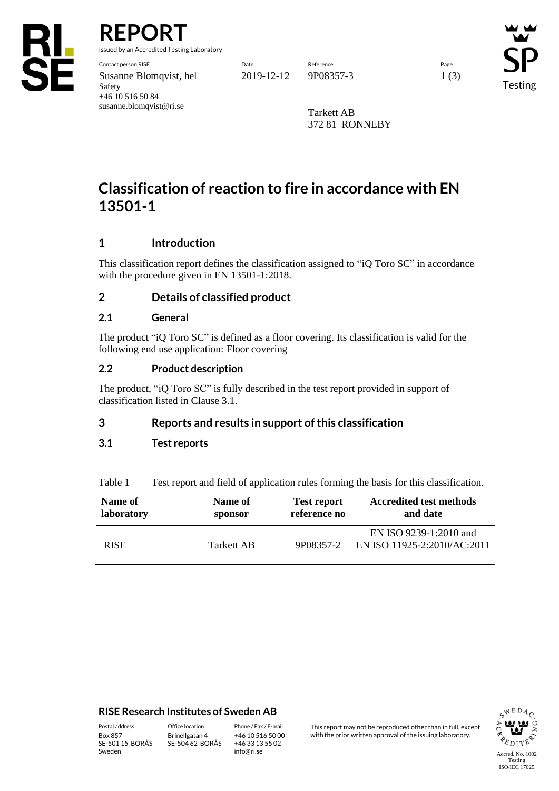

**REPORT**

issued by an Accredited Testing Laboratory

Contact person RISE Date Reference Page Susanne Blomqvist, hel 2019-12-12 9P08357-3 1 (3) Safety +46 10 516 50 84 susanne.blomqvist@ri.se

Testing

Tarkett AB 372 81 RONNEBY

# **Classification of reaction to fire in accordance with EN 13501-1**

# **1 Introduction**

This classification report defines the classification assigned to "iQ Toro SC" in accordance with the procedure given in EN 13501-1:2018.

# **2 Details of classified product**

#### **2.1 General**

The product "iQ Toro SC" is defined as a floor covering. Its classification is valid for the following end use application: Floor covering

## **2.2 Product description**

The product, "iQ Toro SC" is fully described in the test report provided in support of classification listed in Clause 3.1.

## **3 Reports and results in support of this classification**

## **3.1 Test reports**

Table 1 Test report and field of application rules forming the basis for this classification.

| Name of     | Name of    | <b>Test report</b> | <b>Accredited test methods</b>                        |
|-------------|------------|--------------------|-------------------------------------------------------|
| laboratory  | sponsor    | reference no       | and date                                              |
| <b>RISE</b> | Tarkett AB | 9P08357-2          | EN ISO 9239-1:2010 and<br>EN ISO 11925-2:2010/AC:2011 |

#### **RISE Research Institutes of Sweden AB**

SE-501 15 BORÅS Sweden

Brinellgatan 4 SE-504 62 BORÅS

+46 10 516 50 00 +46 33 13 55 02 info@ri.se

Postal address Office location Phone / Fax / E-mail This report may not be reproduced other than in full, except<br>Box 857 Brinellgatan 4 +46 10 516 50 00 with the prior written approval of the issuing laboratory. with the prior written approval of the issuing laboratory.

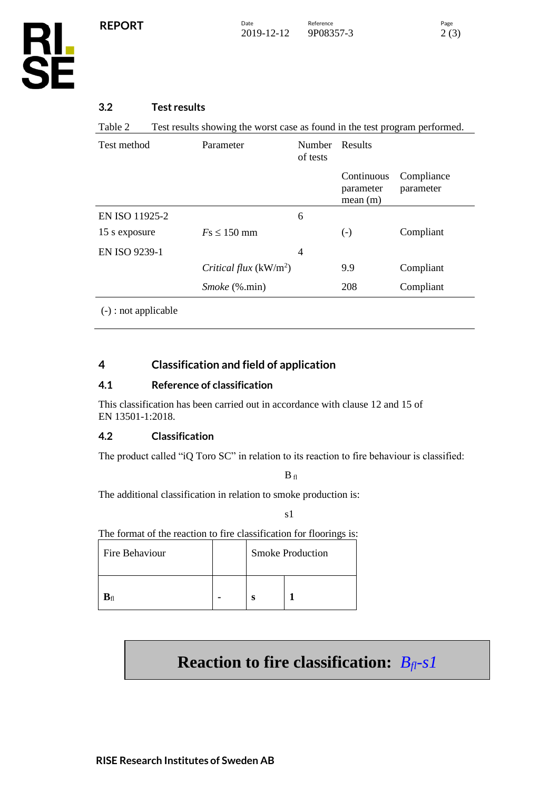

## **3.2 Test results**

Table 2 Test results showing the worst case as found in the test program performed.

| Test method                        | Parameter               | <b>Number</b><br>of tests | Results                            |                         |
|------------------------------------|-------------------------|---------------------------|------------------------------------|-------------------------|
|                                    |                         |                           | Continuous<br>parameter<br>mean(m) | Compliance<br>parameter |
| EN ISO 11925-2                     |                         | 6                         |                                    |                         |
| 15 s exposure                      | $Fs \leq 150$ mm        |                           | $(-)$                              | Compliant               |
| EN ISO 9239-1                      |                         | 4                         |                                    |                         |
|                                    | Critical flux $(kW/m2)$ |                           | 9.9                                | Compliant               |
|                                    | <i>Smoke</i> (%.min)    |                           | 208                                | Compliant               |
| $\sqrt{2}$ $\sqrt{12}$ $\sqrt{11}$ |                         |                           |                                    |                         |

(-) : not applicable

# **4 Classification and field of application**

#### **4.1 Reference of classification**

This classification has been carried out in accordance with clause 12 and 15 of EN 13501-1:2018.

#### **4.2 Classification**

The product called "iQ Toro SC" in relation to its reaction to fire behaviour is classified:

 $\mathbf{B}_{\text{ fl}}$ 

The additional classification in relation to smoke production is:

s1

The format of the reaction to fire classification for floorings is:

| Fire Behaviour |  |   | <b>Smoke Production</b> |  |  |
|----------------|--|---|-------------------------|--|--|
|                |  | ິ |                         |  |  |

# **Reaction to fire classification:** *Bfl-s1*